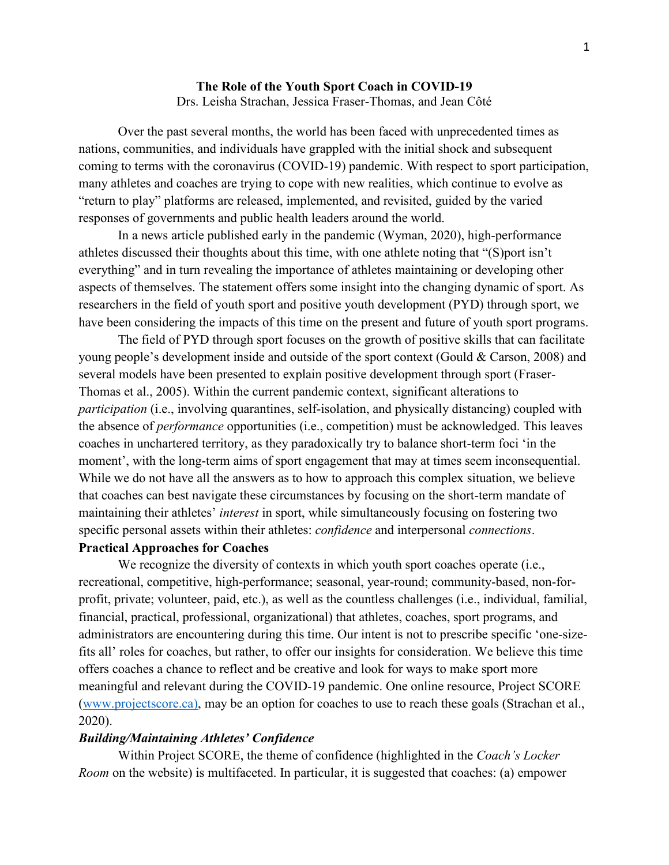## **The Role of the Youth Sport Coach in COVID-19**  Drs. Leisha Strachan, Jessica Fraser-Thomas, and Jean Côté

Over the past several months, the world has been faced with unprecedented times as nations, communities, and individuals have grappled with the initial shock and subsequent coming to terms with the coronavirus (COVID-19) pandemic. With respect to sport participation, many athletes and coaches are trying to cope with new realities, which continue to evolve as "return to play" platforms are released, implemented, and revisited, guided by the varied responses of governments and public health leaders around the world.

In a news article published early in the pandemic (Wyman, 2020), high-performance athletes discussed their thoughts about this time, with one athlete noting that "(S)port isn't everything" and in turn revealing the importance of athletes maintaining or developing other aspects of themselves. The statement offers some insight into the changing dynamic of sport. As researchers in the field of youth sport and positive youth development (PYD) through sport, we have been considering the impacts of this time on the present and future of youth sport programs.

The field of PYD through sport focuses on the growth of positive skills that can facilitate young people's development inside and outside of the sport context (Gould & Carson, 2008) and several models have been presented to explain positive development through sport (Fraser-Thomas et al., 2005). Within the current pandemic context, significant alterations to *participation* (i.e., involving quarantines, self-isolation, and physically distancing) coupled with the absence of *performance* opportunities (i.e., competition) must be acknowledged. This leaves coaches in unchartered territory, as they paradoxically try to balance short-term foci 'in the moment', with the long-term aims of sport engagement that may at times seem inconsequential. While we do not have all the answers as to how to approach this complex situation, we believe that coaches can best navigate these circumstances by focusing on the short-term mandate of maintaining their athletes' *interest* in sport, while simultaneously focusing on fostering two specific personal assets within their athletes: *confidence* and interpersonal *connections*.

## **Practical Approaches for Coaches**

We recognize the diversity of contexts in which youth sport coaches operate (i.e., recreational, competitive, high-performance; seasonal, year-round; community-based, non-forprofit, private; volunteer, paid, etc.), as well as the countless challenges (i.e., individual, familial, financial, practical, professional, organizational) that athletes, coaches, sport programs, and administrators are encountering during this time. Our intent is not to prescribe specific 'one-sizefits all' roles for coaches, but rather, to offer our insights for consideration. We believe this time offers coaches a chance to reflect and be creative and look for ways to make sport more meaningful and relevant during the COVID-19 pandemic. One online resource, Project SCORE ([www.projectscore.ca\)](http://www.projectscore.ca/en/), may be an option for coaches to use to reach these goals (Strachan et al., 2020).

### *Building/Maintaining Athletes' Confidence*

Within Project SCORE, the theme of confidence (highlighted in the *Coach's Locker Room* on the website) is multifaceted. In particular, it is suggested that coaches: (a) empower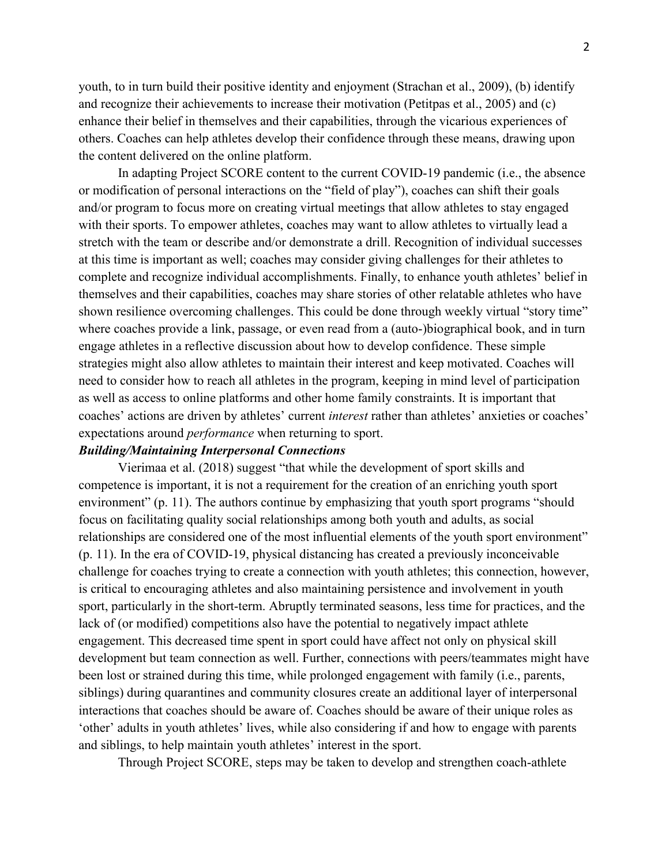youth, to in turn build their positive identity and enjoyment (Strachan et al., 2009), (b) identify and recognize their achievements to increase their motivation (Petitpas et al., 2005) and (c) enhance their belief in themselves and their capabilities, through the vicarious experiences of others. Coaches can help athletes develop their confidence through these means, drawing upon the content delivered on the online platform.

In adapting Project SCORE content to the current COVID-19 pandemic (i.e., the absence or modification of personal interactions on the "field of play"), coaches can shift their goals and/or program to focus more on creating virtual meetings that allow athletes to stay engaged with their sports. To empower athletes, coaches may want to allow athletes to virtually lead a stretch with the team or describe and/or demonstrate a drill. Recognition of individual successes at this time is important as well; coaches may consider giving challenges for their athletes to complete and recognize individual accomplishments. Finally, to enhance youth athletes' belief in themselves and their capabilities, coaches may share stories of other relatable athletes who have shown resilience overcoming challenges. This could be done through weekly virtual "story time" where coaches provide a link, passage, or even read from a (auto-)biographical book, and in turn engage athletes in a reflective discussion about how to develop confidence. These simple strategies might also allow athletes to maintain their interest and keep motivated. Coaches will need to consider how to reach all athletes in the program, keeping in mind level of participation as well as access to online platforms and other home family constraints. It is important that coaches' actions are driven by athletes' current *interest* rather than athletes' anxieties or coaches' expectations around *performance* when returning to sport.

# *Building/Maintaining Interpersonal Connections*

Vierimaa et al. (2018) suggest "that while the development of sport skills and competence is important, it is not a requirement for the creation of an enriching youth sport environment" (p. 11). The authors continue by emphasizing that youth sport programs "should focus on facilitating quality social relationships among both youth and adults, as social relationships are considered one of the most influential elements of the youth sport environment" (p. 11). In the era of COVID-19, physical distancing has created a previously inconceivable challenge for coaches trying to create a connection with youth athletes; this connection, however, is critical to encouraging athletes and also maintaining persistence and involvement in youth sport, particularly in the short-term. Abruptly terminated seasons, less time for practices, and the lack of (or modified) competitions also have the potential to negatively impact athlete engagement. This decreased time spent in sport could have affect not only on physical skill development but team connection as well. Further, connections with peers/teammates might have been lost or strained during this time, while prolonged engagement with family (i.e., parents, siblings) during quarantines and community closures create an additional layer of interpersonal interactions that coaches should be aware of. Coaches should be aware of their unique roles as 'other' adults in youth athletes' lives, while also considering if and how to engage with parents and siblings, to help maintain youth athletes' interest in the sport.

Through Project SCORE, steps may be taken to develop and strengthen coach-athlete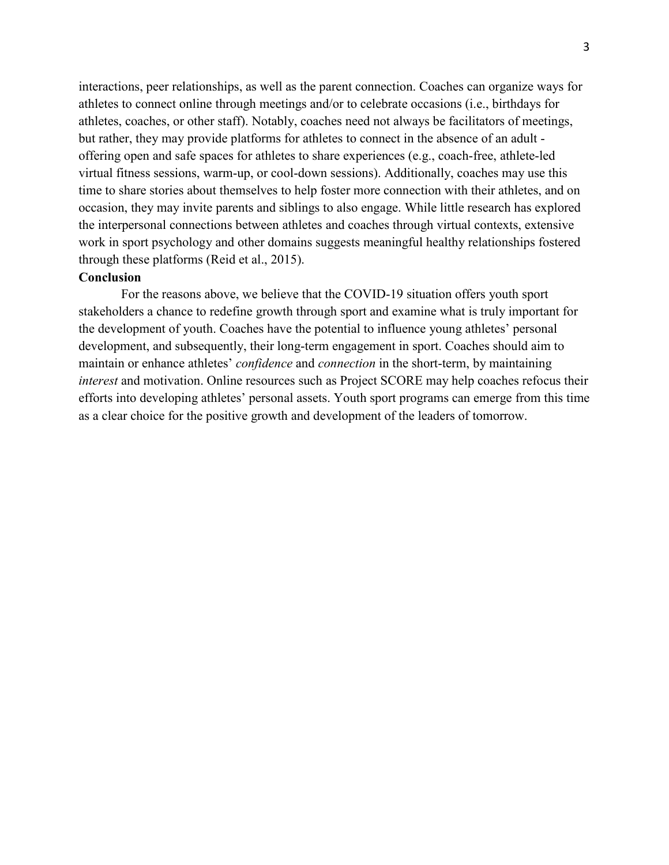interactions, peer relationships, as well as the parent connection. Coaches can organize ways for athletes to connect online through meetings and/or to celebrate occasions (i.e., birthdays for athletes, coaches, or other staff). Notably, coaches need not always be facilitators of meetings, but rather, they may provide platforms for athletes to connect in the absence of an adult offering open and safe spaces for athletes to share experiences (e.g., coach-free, athlete-led virtual fitness sessions, warm-up, or cool-down sessions). Additionally, coaches may use this time to share stories about themselves to help foster more connection with their athletes, and on occasion, they may invite parents and siblings to also engage. While little research has explored the interpersonal connections between athletes and coaches through virtual contexts, extensive work in sport psychology and other domains suggests meaningful healthy relationships fostered through these platforms (Reid et al., 2015).

# **Conclusion**

For the reasons above, we believe that the COVID-19 situation offers youth sport stakeholders a chance to redefine growth through sport and examine what is truly important for the development of youth. Coaches have the potential to influence young athletes' personal development, and subsequently, their long-term engagement in sport. Coaches should aim to maintain or enhance athletes' *confidence* and *connection* in the short-term, by maintaining *interest* and motivation. Online resources such as Project SCORE may help coaches refocus their efforts into developing athletes' personal assets. Youth sport programs can emerge from this time as a clear choice for the positive growth and development of the leaders of tomorrow.